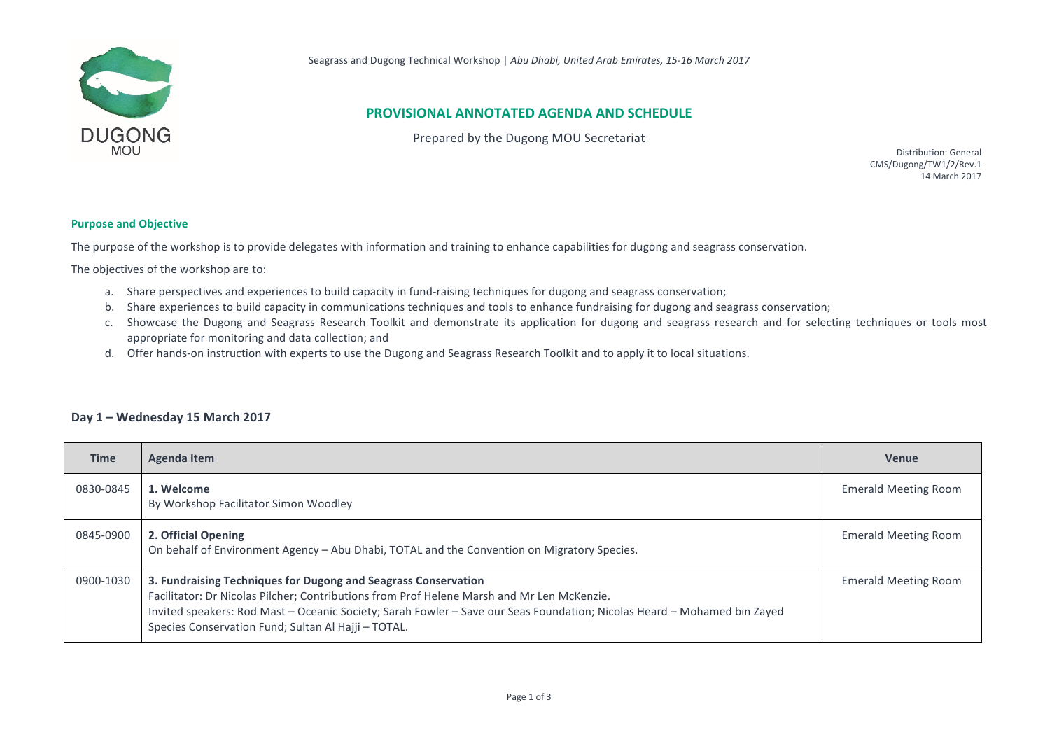

## **PROVISIONAL ANNOTATED AGENDA AND SCHEDULE**

Prepared by the Dugong MOU Secretariat

Distribution: General CMS/Dugong/TW1/2/Rev.1 14 March 2017

## **Purpose and Objective**

The purpose of the workshop is to provide delegates with information and training to enhance capabilities for dugong and seagrass conservation.

The objectives of the workshop are to:

- a. Share perspectives and experiences to build capacity in fund-raising techniques for dugong and seagrass conservation;
- b. Share experiences to build capacity in communications techniques and tools to enhance fundraising for dugong and seagrass conservation;
- c. Showcase the Dugong and Seagrass Research Toolkit and demonstrate its application for dugong and seagrass research and for selecting techniques or tools most appropriate for monitoring and data collection; and
- d. Offer hands-on instruction with experts to use the Dugong and Seagrass Research Toolkit and to apply it to local situations.

## Day 1 - Wednesday 15 March 2017

| <b>Time</b> | <b>Agenda Item</b>                                                                                                                                                                                                                                                                                                                              | <b>Venue</b>                |
|-------------|-------------------------------------------------------------------------------------------------------------------------------------------------------------------------------------------------------------------------------------------------------------------------------------------------------------------------------------------------|-----------------------------|
| 0830-0845   | 1. Welcome<br>By Workshop Facilitator Simon Woodley                                                                                                                                                                                                                                                                                             | <b>Emerald Meeting Room</b> |
| 0845-0900   | 2. Official Opening<br>On behalf of Environment Agency - Abu Dhabi, TOTAL and the Convention on Migratory Species.                                                                                                                                                                                                                              | <b>Emerald Meeting Room</b> |
| 0900-1030   | 3. Fundraising Techniques for Dugong and Seagrass Conservation<br>Facilitator: Dr Nicolas Pilcher; Contributions from Prof Helene Marsh and Mr Len McKenzie.<br>Invited speakers: Rod Mast - Oceanic Society; Sarah Fowler - Save our Seas Foundation; Nicolas Heard - Mohamed bin Zayed<br>Species Conservation Fund; Sultan Al Hajji - TOTAL. | <b>Emerald Meeting Room</b> |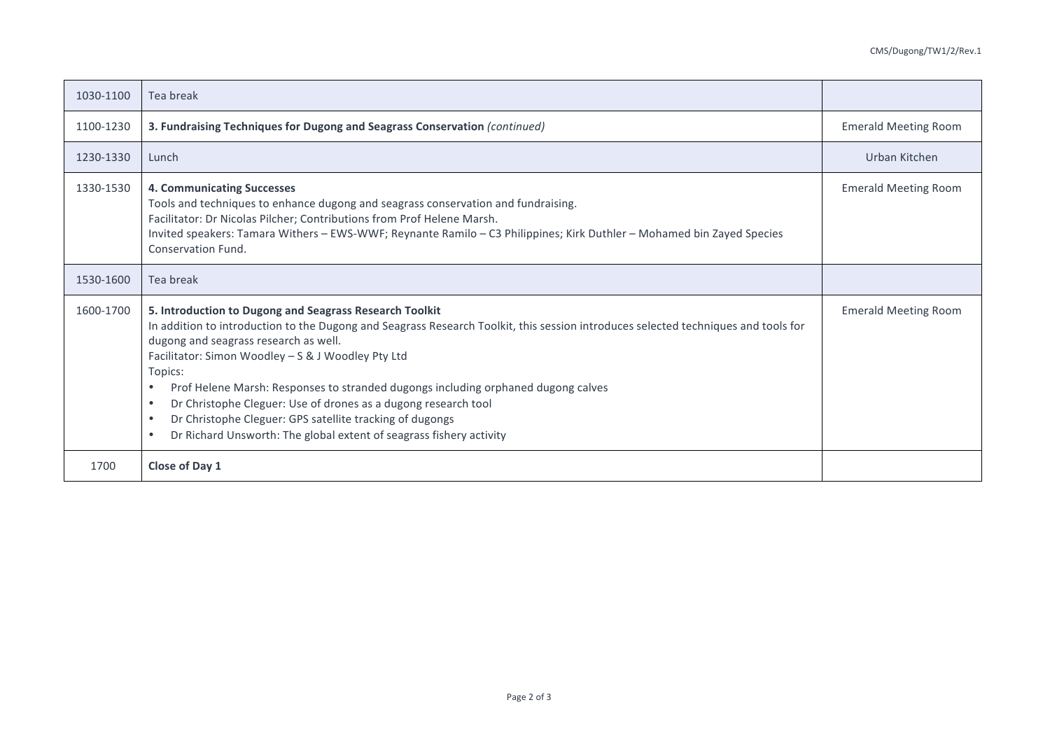| 1030-1100 | Tea break                                                                                                                                                                                                                                                                                                                                                                                                                                                                                                                                                                                                                                             |                             |
|-----------|-------------------------------------------------------------------------------------------------------------------------------------------------------------------------------------------------------------------------------------------------------------------------------------------------------------------------------------------------------------------------------------------------------------------------------------------------------------------------------------------------------------------------------------------------------------------------------------------------------------------------------------------------------|-----------------------------|
| 1100-1230 | 3. Fundraising Techniques for Dugong and Seagrass Conservation (continued)                                                                                                                                                                                                                                                                                                                                                                                                                                                                                                                                                                            | <b>Emerald Meeting Room</b> |
| 1230-1330 | Lunch                                                                                                                                                                                                                                                                                                                                                                                                                                                                                                                                                                                                                                                 | Urban Kitchen               |
| 1330-1530 | <b>4. Communicating Successes</b><br>Tools and techniques to enhance dugong and seagrass conservation and fundraising.<br>Facilitator: Dr Nicolas Pilcher; Contributions from Prof Helene Marsh.<br>Invited speakers: Tamara Withers - EWS-WWF; Reynante Ramilo - C3 Philippines; Kirk Duthler - Mohamed bin Zayed Species<br>Conservation Fund.                                                                                                                                                                                                                                                                                                      | <b>Emerald Meeting Room</b> |
| 1530-1600 | Tea break                                                                                                                                                                                                                                                                                                                                                                                                                                                                                                                                                                                                                                             |                             |
| 1600-1700 | 5. Introduction to Dugong and Seagrass Research Toolkit<br>In addition to introduction to the Dugong and Seagrass Research Toolkit, this session introduces selected techniques and tools for<br>dugong and seagrass research as well.<br>Facilitator: Simon Woodley - S & J Woodley Pty Ltd<br>Topics:<br>Prof Helene Marsh: Responses to stranded dugongs including orphaned dugong calves<br>$\bullet$<br>Dr Christophe Cleguer: Use of drones as a dugong research tool<br>$\bullet$<br>Dr Christophe Cleguer: GPS satellite tracking of dugongs<br>$\bullet$<br>Dr Richard Unsworth: The global extent of seagrass fishery activity<br>$\bullet$ | <b>Emerald Meeting Room</b> |
| 1700      | Close of Day 1                                                                                                                                                                                                                                                                                                                                                                                                                                                                                                                                                                                                                                        |                             |